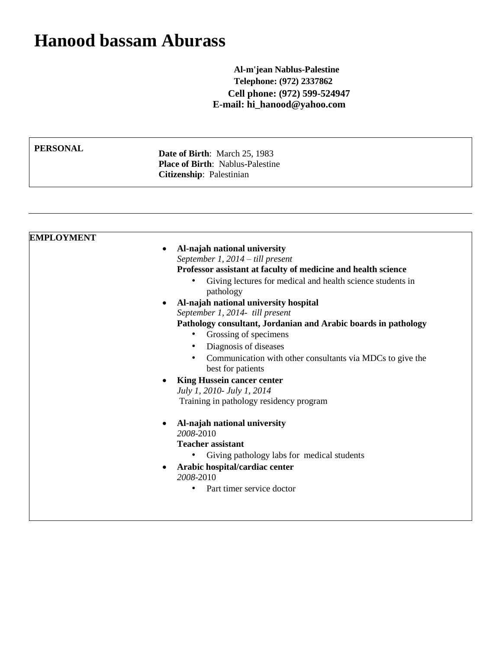## **Hanood bassam Aburass**

**Al-m'jean Nablus-Palestine Telephone: (972) 2337862 Cell phone: (972) 599-524947 E-mail: hi\_hanood@yahoo.com**

**PERSONAL** Date of Birth: March 25, 1983 **Place of Birth**: Nablus-Palestine **Citizenship**: Palestinian

| <b>EMPLOYMENT</b><br>Al-najah national university<br>$\bullet$<br>September 1, $2014 -$ till present |  |
|------------------------------------------------------------------------------------------------------|--|
|                                                                                                      |  |
|                                                                                                      |  |
|                                                                                                      |  |
| Professor assistant at faculty of medicine and health science                                        |  |
| Giving lectures for medical and health science students in<br>$\bullet$<br>pathology                 |  |
| Al-najah national university hospital                                                                |  |
| September 1, 2014- till present                                                                      |  |
| Pathology consultant, Jordanian and Arabic boards in pathology                                       |  |
| Grossing of specimens<br>٠                                                                           |  |
| Diagnosis of diseases                                                                                |  |
| Communication with other consultants via MDCs to give the                                            |  |
| best for patients                                                                                    |  |
|                                                                                                      |  |
| <b>King Hussein cancer center</b>                                                                    |  |
| July 1, 2010- July 1, 2014                                                                           |  |
| Training in pathology residency program                                                              |  |
| Al-najah national university                                                                         |  |
| 2008-2010                                                                                            |  |
| <b>Teacher assistant</b>                                                                             |  |
| Giving pathology labs for medical students<br>٠                                                      |  |
|                                                                                                      |  |
| Arabic hospital/cardiac center<br>2008-2010                                                          |  |
|                                                                                                      |  |
| Part timer service doctor<br>٠                                                                       |  |
|                                                                                                      |  |
|                                                                                                      |  |